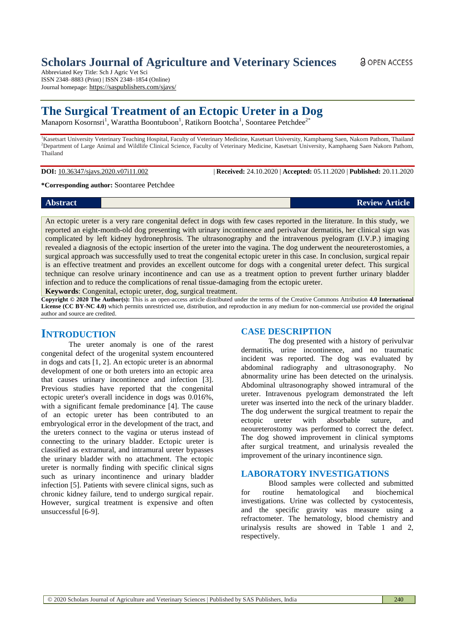## **Scholars Journal of Agriculture and Veterinary Sciences**

Abbreviated Key Title: Sch J Agric Vet Sci ISSN 2348–8883 (Print) | ISSN 2348–1854 (Online) Journal homepage: <https://saspublishers.com/sjavs/>

# **The Surgical Treatment of an Ectopic Ureter in a Dog**

Manaporn Kosornsri<sup>1</sup>, Warattha Boontuboon<sup>1</sup>, Ratikorn Bootcha<sup>1</sup>, Soontaree Petchdee<sup>2\*</sup>

<sup>1</sup>Kasetsart University Veterinary Teaching Hospital, Faculty of Veterinary Medicine, Kasetsart University, Kamphaeng Saen, Nakorn Pathom, Thailand <sup>2</sup>Department of Large Animal and Wildlife Clinical Science, Faculty of Veterinary Medicine, Kasetsart University, Kamphaeng Saen Nakorn Pathom, Thailand

**DOI:** 10.36347/sjavs.2020.v07i11.002 | **Received:** 24.10.2020 | **Accepted:** 05.11.2020 | **Published:** 20.11.2020

**\*Corresponding author:** Soontaree Petchdee

**Abstract Review Article**

An ectopic ureter is a very rare congenital defect in dogs with few cases reported in the literature. In this study, we reported an eight-month-old dog presenting with urinary incontinence and perivalvar dermatitis, her clinical sign was complicated by left kidney hydronephrosis. The ultrasonography and the intravenous pyelogram (I.V.P.) imaging revealed a diagnosis of the ectopic insertion of the ureter into the vagina. The dog underwent the neoureterostomies, a surgical approach was successfully used to treat the congenital ectopic ureter in this case. In conclusion, surgical repair is an effective treatment and provides an excellent outcome for dogs with a congenital ureter defect. This surgical technique can resolve urinary incontinence and can use as a treatment option to prevent further urinary bladder infection and to reduce the complications of renal tissue-damaging from the ectopic ureter.

**Keywords**: Congenital, ectopic ureter, dog, surgical treatment.

**Copyright © 2020 The Author(s):** This is an open-access article distributed under the terms of the Creative Commons Attribution **4.0 International License (CC BY-NC 4.0)** which permits unrestricted use, distribution, and reproduction in any medium for non-commercial use provided the original author and source are credited.

## **INTRODUCTION**

The ureter anomaly is one of the rarest congenital defect of the urogenital system encountered in dogs and cats [1, 2]. An ectopic ureter is an abnormal development of one or both ureters into an ectopic area that causes urinary incontinence and infection [3]. Previous studies have reported that the congenital ectopic ureter's overall incidence in dogs was 0.016%, with a significant female predominance [4]. The cause of an ectopic ureter has been contributed to an embryological error in the development of the tract, and the ureters connect to the vagina or uterus instead of connecting to the urinary bladder. Ectopic ureter is classified as extramural, and intramural ureter bypasses the urinary bladder with no attachment. The ectopic ureter is normally finding with specific clinical signs such as urinary incontinence and urinary bladder infection [5]. Patients with severe clinical signs, such as chronic kidney failure, tend to undergo surgical repair. However, surgical treatment is expensive and often unsuccessful [6-9].

#### **CASE DESCRIPTION**

The dog presented with a history of perivulvar dermatitis, urine incontinence, and no traumatic incident was reported. The dog was evaluated by abdominal radiography and ultrasonography. No abnormality urine has been detected on the urinalysis. Abdominal ultrasonography showed intramural of the ureter. Intravenous pyelogram demonstrated the left ureter was inserted into the neck of the urinary bladder. The dog underwent the surgical treatment to repair the ectopic ureter with absorbable suture, and neoureterostomy was performed to correct the defect. The dog showed improvement in clinical symptoms after surgical treatment, and urinalysis revealed the improvement of the urinary incontinence sign.

### **LABORATORY INVESTIGATIONS**

Blood samples were collected and submitted for routine hematological and biochemical investigations. Urine was collected by cystocentesis, and the specific gravity was measure using a refractometer. The hematology, blood chemistry and urinalysis results are showed in Table 1 and 2, respectively.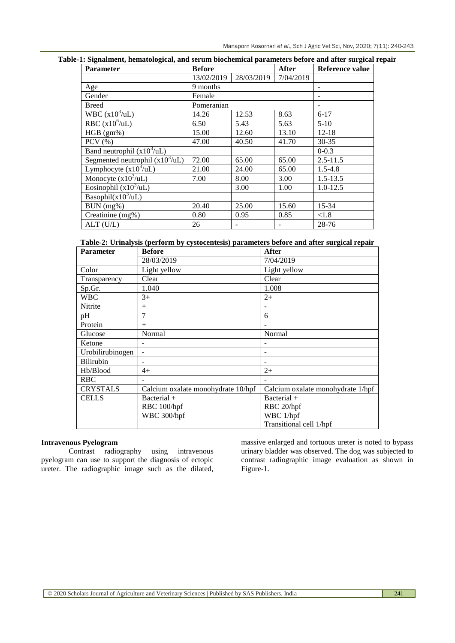| <b>Parameter</b>                         | <b>Before</b> |            | After     | Reference value |
|------------------------------------------|---------------|------------|-----------|-----------------|
|                                          | 13/02/2019    | 28/03/2019 | 7/04/2019 |                 |
| Age                                      | 9 months      |            |           |                 |
| Gender                                   | Female        |            |           |                 |
| <b>Breed</b>                             | Pomeranian    |            |           |                 |
| WBC $(x10^3/uL)$                         | 14.26         | 12.53      | 8.63      | $6 - 17$        |
| RBC $(x10^6/\text{uL})$                  | 6.50          | 5.43       | 5.63      | $5-10$          |
| $HGB (gm\%)$                             | 15.00         | 12.60      | 13.10     | $12 - 18$       |
| PCV $(% )$                               | 47.00         | 40.50      | 41.70     | $30 - 35$       |
| Band neutrophil $(x10^3/\text{uL})$      |               |            |           | $0 - 0.3$       |
| Segmented neutrophil $(x10^3/\text{uL})$ | 72.00         | 65.00      | 65.00     | $2.5 - 11.5$    |
| Lymphocyte $(x10^3/uL)$                  | 21.00         | 24.00      | 65.00     | $1.5 - 4.8$     |
| Monocyte $(x10^3/\text{uL})$             | 7.00          | 8.00       | 3.00      | $1.5 - 13.5$    |
| Eosinophil $(x10^3/uL)$                  |               | 3.00       | 1.00      | $1.0 - 12.5$    |
| Basophil( $x10^3$ /uL)                   |               |            |           |                 |
| BUN (mg%)                                | 20.40         | 25.00      | 15.60     | 15-34           |
| Creatinine (mg%)                         | 0.80          | 0.95       | 0.85      | ${<}1.8$        |
| $ALT$ (U/L)                              | 26            |            |           | 28-76           |

#### **Table-1: Signalment, hematological, and serum biochemical parameters before and after surgical repair**

|  |  | Table-2: Urinalysis (perform by cystocentesis) parameters before and after surgical repair |  |
|--|--|--------------------------------------------------------------------------------------------|--|
|  |  |                                                                                            |  |

| <b>Parameter</b> | <b>Before</b>                      | After                             |
|------------------|------------------------------------|-----------------------------------|
|                  | 28/03/2019                         | 7/04/2019                         |
| Color            | Light yellow                       | Light yellow                      |
| Transparency     | Clear                              | Clear                             |
| Sp.Gr.           | 1.040                              | 1.008                             |
| <b>WBC</b>       | $3+$                               | $2+$                              |
| Nitrite          | $+$                                |                                   |
| pH               | 7                                  | 6                                 |
| Protein          | $+$                                |                                   |
| Glucose          | Normal                             | Normal                            |
| Ketone           |                                    |                                   |
| Urobilirubinogen |                                    |                                   |
| Bilirubin        |                                    |                                   |
| Hb/Blood         | $4+$                               | $2+$                              |
| <b>RBC</b>       |                                    |                                   |
| <b>CRYSTALS</b>  | Calcium oxalate monohydrate 10/hpf | Calcium oxalate monohydrate 1/hpf |
| <b>CELLS</b>     | $Bacterial +$                      | $Bacterial +$                     |
|                  | RBC 100/hpf                        | RBC 20/hpf                        |
|                  | WBC 300/hpf                        | WBC 1/hpf                         |
|                  |                                    | Transitional cell 1/hpf           |

#### **Intravenous Pyelogram**

Contrast radiography using intravenous pyelogram can use to support the diagnosis of ectopic ureter. The radiographic image such as the dilated,

massive enlarged and tortuous ureter is noted to bypass urinary bladder was observed. The dog was subjected to contrast radiographic image evaluation as shown in Figure-1.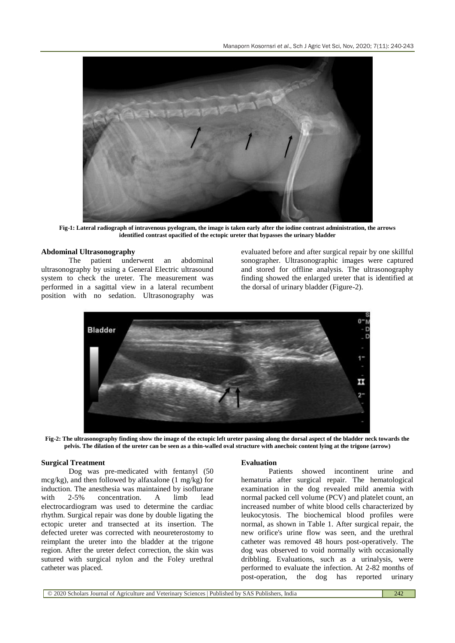

**Fig-1: Lateral radiograph of intravenous pyelogram, the image is taken early after the iodine contrast administration, the arrows identified contrast opacified of the ectopic ureter that bypasses the urinary bladder**

#### **Abdominal Ultrasonography**

The patient underwent an abdominal ultrasonography by using a General Electric ultrasound system to check the ureter. The measurement was performed in a sagittal view in a lateral recumbent position with no sedation. Ultrasonography was evaluated before and after surgical repair by one skillful sonographer. Ultrasonographic images were captured and stored for offline analysis. The ultrasonography finding showed the enlarged ureter that is identified at the dorsal of urinary bladder (Figure-2).



**Fig-2: The ultrasonography finding show the image of the ectopic left ureter passing along the dorsal aspect of the bladder neck towards the pelvis. The dilation of the ureter can be seen as a thin-walled oval structure with anechoic content lying at the trigone (arrow)**

#### **Surgical Treatment**

Dog was pre-medicated with fentanyl (50 mcg/kg), and then followed by alfaxalone (1 mg/kg) for induction. The anesthesia was maintained by isoflurane with 2-5% concentration. A limb lead electrocardiogram was used to determine the cardiac rhythm. Surgical repair was done by double ligating the ectopic ureter and transected at its insertion. The defected ureter was corrected with neoureterostomy to reimplant the ureter into the bladder at the trigone region. After the ureter defect correction, the skin was sutured with surgical nylon and the Foley urethral catheter was placed.

#### **Evaluation**

Patients showed incontinent urine and hematuria after surgical repair. The hematological examination in the dog revealed mild anemia with normal packed cell volume (PCV) and platelet count, an increased number of white blood cells characterized by leukocytosis. The biochemical blood profiles were normal, as shown in Table 1. After surgical repair, the new orifice's urine flow was seen, and the urethral catheter was removed 48 hours post-operatively. The dog was observed to void normally with occasionally dribbling. Evaluations, such as a urinalysis, were performed to evaluate the infection. At 2-82 months of post-operation, the dog has reported urinary